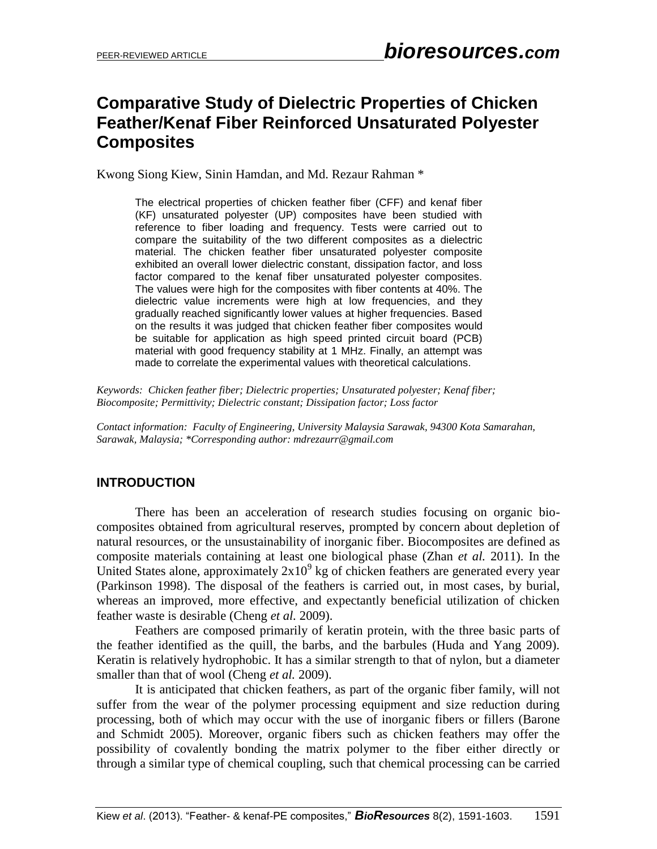# **Comparative Study of Dielectric Properties of Chicken Feather/Kenaf Fiber Reinforced Unsaturated Polyester Composites**

Kwong Siong Kiew, Sinin Hamdan, and Md. Rezaur Rahman \*

The electrical properties of chicken feather fiber (CFF) and kenaf fiber (KF) unsaturated polyester (UP) composites have been studied with reference to fiber loading and frequency. Tests were carried out to compare the suitability of the two different composites as a dielectric material. The chicken feather fiber unsaturated polyester composite exhibited an overall lower dielectric constant, dissipation factor, and loss factor compared to the kenaf fiber unsaturated polyester composites. The values were high for the composites with fiber contents at 40%. The dielectric value increments were high at low frequencies, and they gradually reached significantly lower values at higher frequencies. Based on the results it was judged that chicken feather fiber composites would be suitable for application as high speed printed circuit board (PCB) material with good frequency stability at 1 MHz. Finally, an attempt was made to correlate the experimental values with theoretical calculations.

*Keywords: Chicken feather fiber; Dielectric properties; Unsaturated polyester; Kenaf fiber; Biocomposite; Permittivity; Dielectric constant; Dissipation factor; Loss factor*

*Contact information: Faculty of Engineering, University Malaysia Sarawak, 94300 Kota Samarahan, Sarawak, Malaysia; \*Corresponding author: mdrezaurr@gmail.com*

# **INTRODUCTION**

There has been an acceleration of research studies focusing on organic biocomposites obtained from agricultural reserves, prompted by concern about depletion of natural resources, or the unsustainability of inorganic fiber. Biocomposites are defined as composite materials containing at least one biological phase (Zhan *et al.* 2011). In the United States alone, approximately  $2x10^9$  kg of chicken feathers are generated every year (Parkinson 1998). The disposal of the feathers is carried out, in most cases, by burial, whereas an improved, more effective, and expectantly beneficial utilization of chicken feather waste is desirable (Cheng *et al.* 2009).

Feathers are composed primarily of keratin protein, with the three basic parts of the feather identified as the quill, the barbs, and the barbules (Huda and Yang 2009). Keratin is relatively hydrophobic. It has a similar strength to that of nylon, but a diameter smaller than that of wool (Cheng *et al.* 2009).

It is anticipated that chicken feathers, as part of the organic fiber family, will not suffer from the wear of the polymer processing equipment and size reduction during processing, both of which may occur with the use of inorganic fibers or fillers (Barone and Schmidt 2005). Moreover, organic fibers such as chicken feathers may offer the possibility of covalently bonding the matrix polymer to the fiber either directly or through a similar type of chemical coupling, such that chemical processing can be carried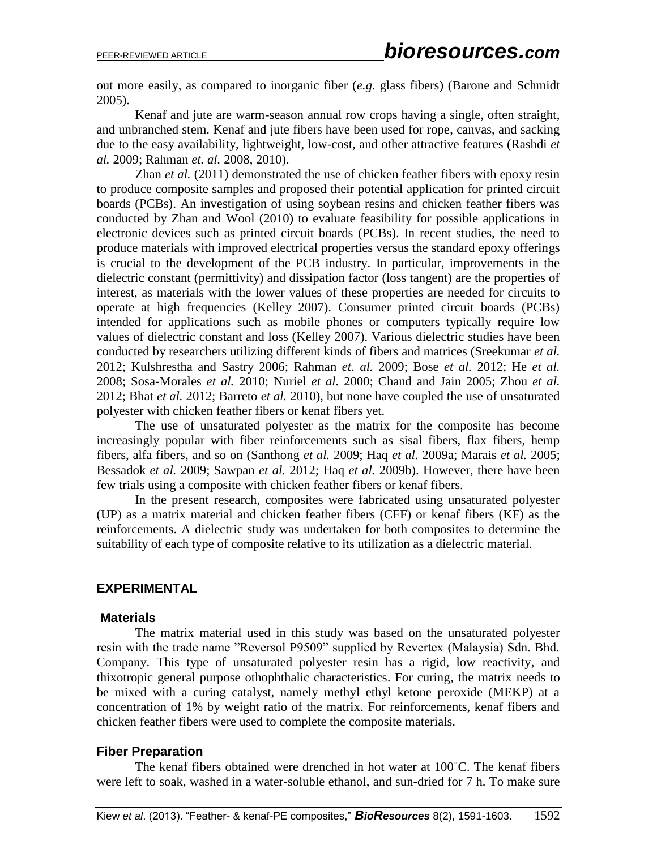out more easily, as compared to inorganic fiber (*e.g.* glass fibers) (Barone and Schmidt 2005).

Kenaf and jute are warm-season annual row crops having a single, often straight, and unbranched stem. Kenaf and jute fibers have been used for rope, canvas, and sacking due to the easy availability, lightweight, low-cost, and other attractive features (Rashdi *et al.* 2009; Rahman *et. al.* 2008, 2010).

Zhan *et al.* (2011) demonstrated the use of chicken feather fibers with epoxy resin to produce composite samples and proposed their potential application for printed circuit boards (PCBs). An investigation of using soybean resins and chicken feather fibers was conducted by Zhan and Wool (2010) to evaluate feasibility for possible applications in electronic devices such as printed circuit boards (PCBs). In recent studies, the need to produce materials with improved electrical properties versus the standard epoxy offerings is crucial to the development of the PCB industry. In particular, improvements in the dielectric constant (permittivity) and dissipation factor (loss tangent) are the properties of interest, as materials with the lower values of these properties are needed for circuits to operate at high frequencies (Kelley 2007). Consumer printed circuit boards (PCBs) intended for applications such as mobile phones or computers typically require low values of dielectric constant and loss (Kelley 2007). Various dielectric studies have been conducted by researchers utilizing different kinds of fibers and matrices (Sreekumar *et al.*  2012; Kulshrestha and Sastry 2006; Rahman *et. al.* 2009; Bose *et al.* 2012; He *et al.*  2008; Sosa-Morales *et al.* 2010; Nuriel *et al.* 2000; Chand and Jain 2005; Zhou *et al.*  2012; Bhat *et al.* 2012; Barreto *et al.* 2010), but none have coupled the use of unsaturated polyester with chicken feather fibers or kenaf fibers yet.

The use of unsaturated polyester as the matrix for the composite has become increasingly popular with fiber reinforcements such as sisal fibers, flax fibers, hemp fibers, alfa fibers, and so on (Santhong *et al.* 2009; Haq *et al.* 2009a; Marais *et al.* 2005; Bessadok *et al.* 2009; Sawpan *et al.* 2012; Haq *et al.* 2009b). However, there have been few trials using a composite with chicken feather fibers or kenaf fibers.

In the present research, composites were fabricated using unsaturated polyester (UP) as a matrix material and chicken feather fibers (CFF) or kenaf fibers (KF) as the reinforcements. A dielectric study was undertaken for both composites to determine the suitability of each type of composite relative to its utilization as a dielectric material.

# **EXPERIMENTAL**

# **Materials**

The matrix material used in this study was based on the unsaturated polyester resin with the trade name "Reversol P9509" supplied by Revertex (Malaysia) Sdn. Bhd. Company. This type of unsaturated polyester resin has a rigid, low reactivity, and thixotropic general purpose othophthalic characteristics. For curing, the matrix needs to be mixed with a curing catalyst, namely methyl ethyl ketone peroxide (MEKP) at a concentration of 1% by weight ratio of the matrix. For reinforcements, kenaf fibers and chicken feather fibers were used to complete the composite materials.

# **Fiber Preparation**

The kenaf fibers obtained were drenched in hot water at 100˚C. The kenaf fibers were left to soak, washed in a water-soluble ethanol, and sun-dried for 7 h. To make sure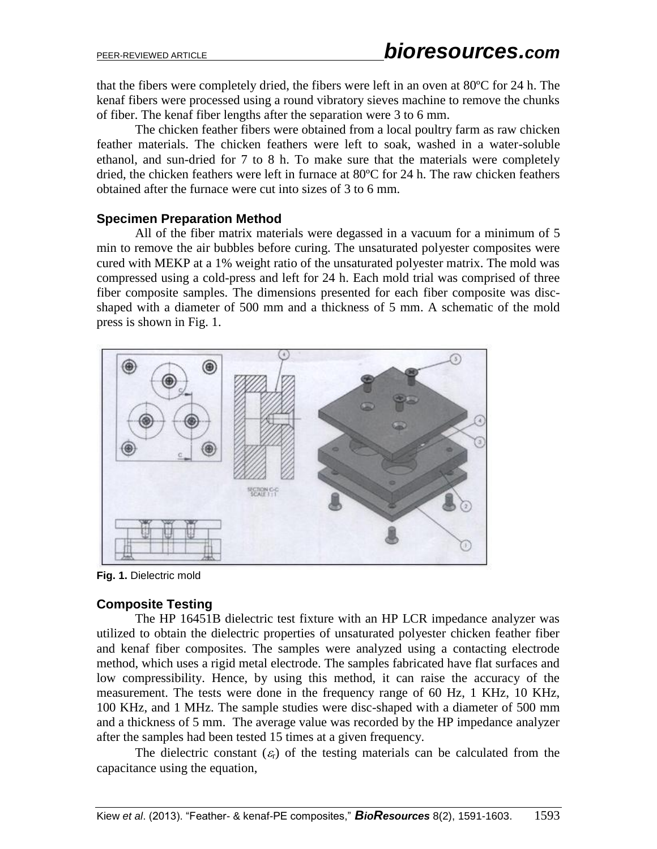that the fibers were completely dried, the fibers were left in an oven at 80ºC for 24 h. The kenaf fibers were processed using a round vibratory sieves machine to remove the chunks of fiber. The kenaf fiber lengths after the separation were 3 to 6 mm.

The chicken feather fibers were obtained from a local poultry farm as raw chicken feather materials. The chicken feathers were left to soak, washed in a water-soluble ethanol, and sun-dried for 7 to 8 h. To make sure that the materials were completely dried, the chicken feathers were left in furnace at 80ºC for 24 h. The raw chicken feathers obtained after the furnace were cut into sizes of 3 to 6 mm.

# **Specimen Preparation Method**

All of the fiber matrix materials were degassed in a vacuum for a minimum of 5 min to remove the air bubbles before curing. The unsaturated polyester composites were cured with MEKP at a 1% weight ratio of the unsaturated polyester matrix. The mold was compressed using a cold-press and left for 24 h. Each mold trial was comprised of three fiber composite samples. The dimensions presented for each fiber composite was discshaped with a diameter of 500 mm and a thickness of 5 mm. A schematic of the mold press is shown in Fig. 1.



**Fig. 1.** Dielectric mold

# **Composite Testing**

The HP 16451B dielectric test fixture with an HP LCR impedance analyzer was utilized to obtain the dielectric properties of unsaturated polyester chicken feather fiber and kenaf fiber composites. The samples were analyzed using a contacting electrode method, which uses a rigid metal electrode. The samples fabricated have flat surfaces and low compressibility. Hence, by using this method, it can raise the accuracy of the measurement. The tests were done in the frequency range of 60 Hz, 1 KHz, 10 KHz, 100 KHz, and 1 MHz. The sample studies were disc-shaped with a diameter of 500 mm and a thickness of 5 mm. The average value was recorded by the HP impedance analyzer after the samples had been tested 15 times at a given frequency.

The dielectric constant  $(\varepsilon_r)$  of the testing materials can be calculated from the capacitance using the equation,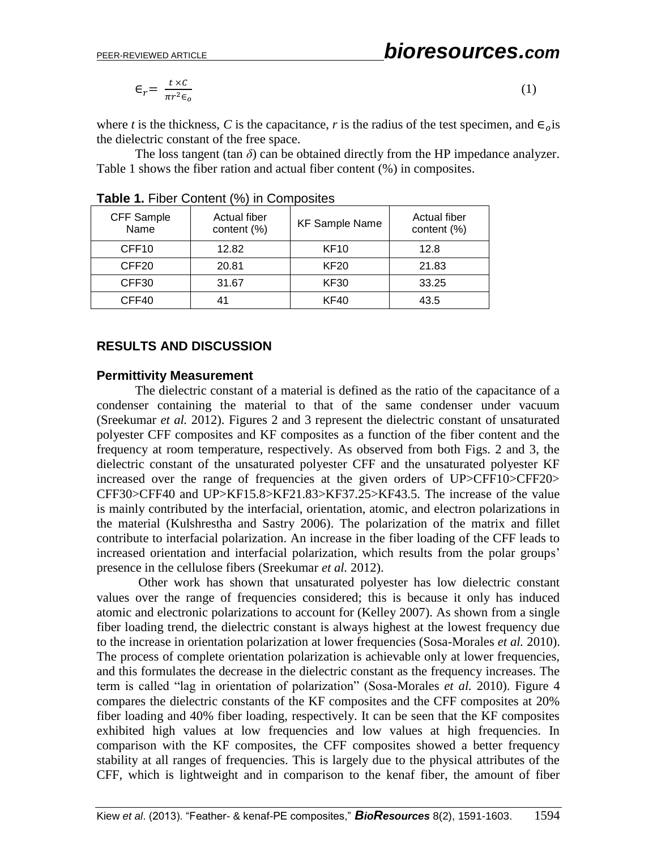$$
\epsilon_r = \frac{t \times c}{\pi r^2 \epsilon_o} \tag{1}
$$

where *t* is the thickness, *C* is the capacitance, *r* is the radius of the test specimen, and  $\epsilon_{\alpha}$  is the dielectric constant of the free space.

The loss tangent (tan  $\delta$ ) can be obtained directly from the HP impedance analyzer. Table 1 shows the fiber ration and actual fiber content (%) in composites.

| CFF Sample<br>Name | Actual fiber<br>content (%) | <b>KF Sample Name</b> | Actual fiber<br>content (%) |
|--------------------|-----------------------------|-----------------------|-----------------------------|
| CFF <sub>10</sub>  | 12.82                       | <b>KF10</b>           | 12.8                        |
| CFF <sub>20</sub>  | 20.81                       | <b>KF20</b>           | 21.83                       |
| CFF30              | 31.67                       | <b>KF30</b>           | 33.25                       |
| CFF40              | 41                          | <b>KF40</b>           | 43.5                        |

#### **Table 1.** Fiber Content (%) in Composites

### **RESULTS AND DISCUSSION**

#### **Permittivity Measurement**

The dielectric constant of a material is defined as the ratio of the capacitance of a condenser containing the material to that of the same condenser under vacuum (Sreekumar *et al.* 2012). Figures 2 and 3 represent the dielectric constant of unsaturated polyester CFF composites and KF composites as a function of the fiber content and the frequency at room temperature, respectively. As observed from both Figs. 2 and 3, the dielectric constant of the unsaturated polyester CFF and the unsaturated polyester KF increased over the range of frequencies at the given orders of UP>CFF10>CFF20> CFF30>CFF40 and UP>KF15.8>KF21.83>KF37.25>KF43.5. The increase of the value is mainly contributed by the interfacial, orientation, atomic, and electron polarizations in the material (Kulshrestha and Sastry 2006). The polarization of the matrix and fillet contribute to interfacial polarization. An increase in the fiber loading of the CFF leads to increased orientation and interfacial polarization, which results from the polar groups' presence in the cellulose fibers (Sreekumar *et al.* 2012).

Other work has shown that unsaturated polyester has low dielectric constant values over the range of frequencies considered; this is because it only has induced atomic and electronic polarizations to account for (Kelley 2007). As shown from a single fiber loading trend, the dielectric constant is always highest at the lowest frequency due to the increase in orientation polarization at lower frequencies (Sosa-Morales *et al.* 2010). The process of complete orientation polarization is achievable only at lower frequencies, and this formulates the decrease in the dielectric constant as the frequency increases. The term is called "lag in orientation of polarization" (Sosa-Morales *et al.* 2010). Figure 4 compares the dielectric constants of the KF composites and the CFF composites at 20% fiber loading and 40% fiber loading, respectively. It can be seen that the KF composites exhibited high values at low frequencies and low values at high frequencies. In comparison with the KF composites, the CFF composites showed a better frequency stability at all ranges of frequencies. This is largely due to the physical attributes of the CFF, which is lightweight and in comparison to the kenaf fiber, the amount of fiber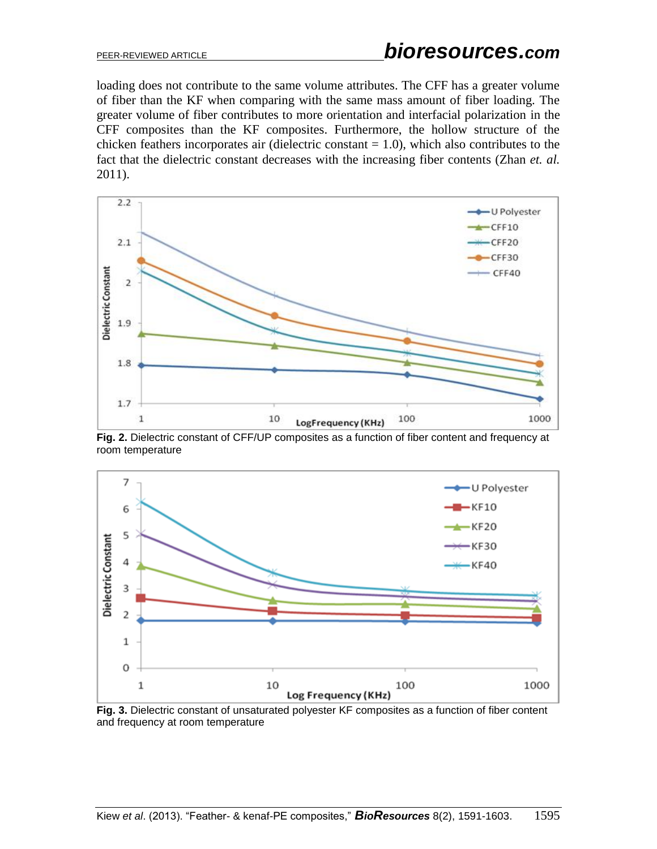loading does not contribute to the same volume attributes. The CFF has a greater volume of fiber than the KF when comparing with the same mass amount of fiber loading. The greater volume of fiber contributes to more orientation and interfacial polarization in the CFF composites than the KF composites. Furthermore, the hollow structure of the chicken feathers incorporates air (dielectric constant  $= 1.0$ ), which also contributes to the fact that the dielectric constant decreases with the increasing fiber contents (Zhan *et. al.* 2011).



**Fig. 2.** Dielectric constant of CFF/UP composites as a function of fiber content and frequency at room temperature



**Fig. 3.** Dielectric constant of unsaturated polyester KF composites as a function of fiber content and frequency at room temperature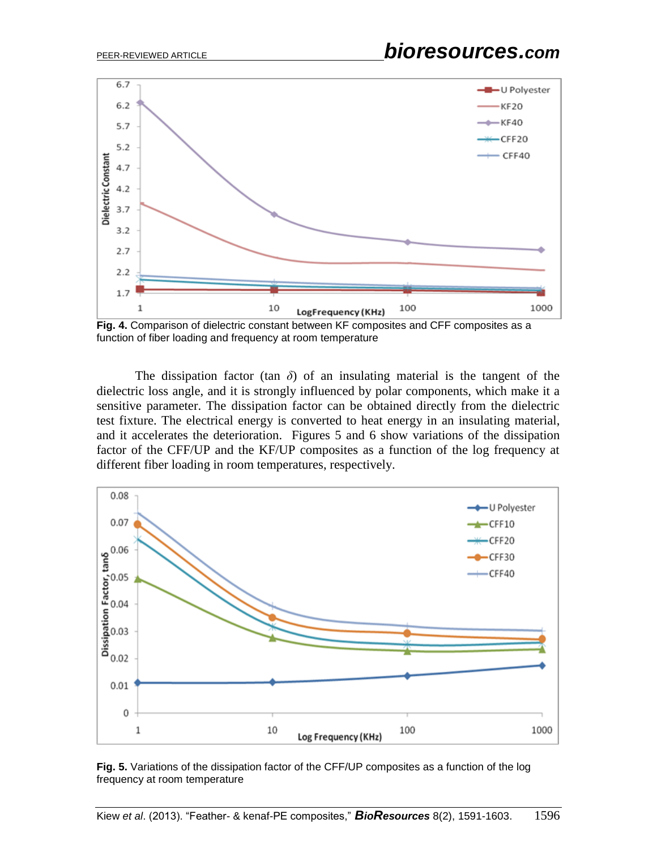

**Fig. 4.** Comparison of dielectric constant between KF composites and CFF composites as a function of fiber loading and frequency at room temperature

The dissipation factor (tan  $\delta$ ) of an insulating material is the tangent of the dielectric loss angle, and it is strongly influenced by polar components, which make it a sensitive parameter. The dissipation factor can be obtained directly from the dielectric test fixture. The electrical energy is converted to heat energy in an insulating material, and it accelerates the deterioration. Figures 5 and 6 show variations of the dissipation factor of the CFF/UP and the KF/UP composites as a function of the log frequency at different fiber loading in room temperatures, respectively.



**Fig. 5.** Variations of the dissipation factor of the CFF/UP composites as a function of the log frequency at room temperature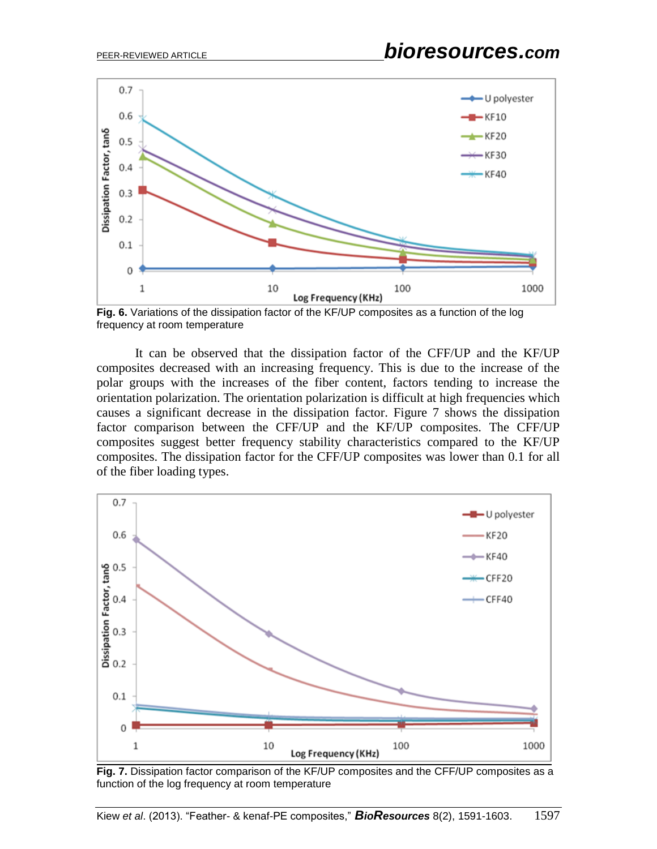

**Fig. 6.** Variations of the dissipation factor of the KF/UP composites as a function of the log frequency at room temperature

It can be observed that the dissipation factor of the CFF/UP and the KF/UP composites decreased with an increasing frequency. This is due to the increase of the polar groups with the increases of the fiber content, factors tending to increase the orientation polarization. The orientation polarization is difficult at high frequencies which causes a significant decrease in the dissipation factor. Figure 7 shows the dissipation factor comparison between the CFF/UP and the KF/UP composites. The CFF/UP composites suggest better frequency stability characteristics compared to the KF/UP composites. The dissipation factor for the CFF/UP composites was lower than 0.1 for all of the fiber loading types.



**Fig. 7.** Dissipation factor comparison of the KF/UP composites and the CFF/UP composites as a function of the log frequency at room temperature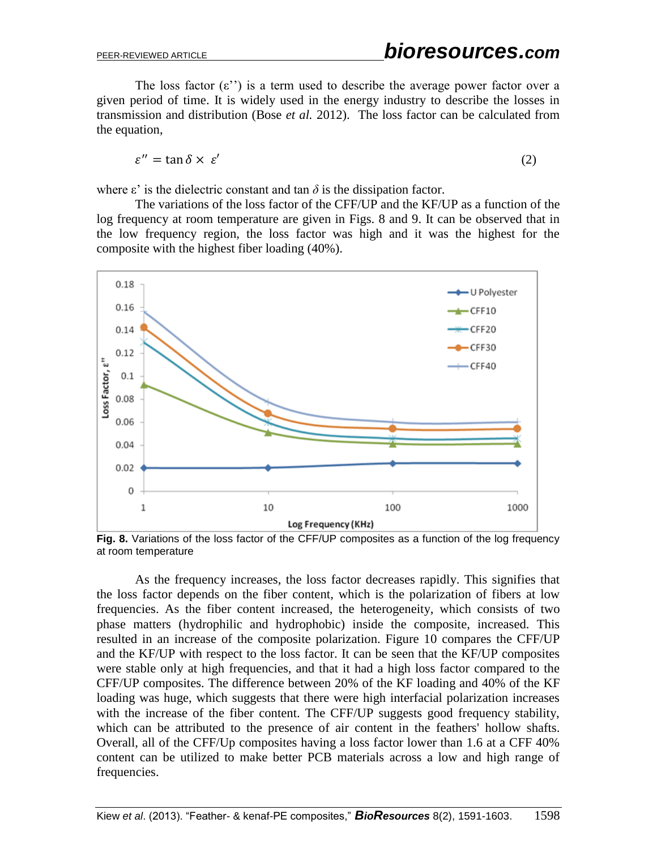The loss factor  $(\varepsilon'')$  is a term used to describe the average power factor over a given period of time. It is widely used in the energy industry to describe the losses in transmission and distribution (Bose *et al.* 2012). The loss factor can be calculated from the equation,

$$
\varepsilon'' = \tan \delta \times \varepsilon' \tag{2}
$$

where  $\varepsilon'$  is the dielectric constant and tan  $\delta$  is the dissipation factor.

The variations of the loss factor of the CFF/UP and the KF/UP as a function of the log frequency at room temperature are given in Figs. 8 and 9. It can be observed that in the low frequency region, the loss factor was high and it was the highest for the composite with the highest fiber loading (40%).



Fig. 8. Variations of the loss factor of the CFF/UP composites as a function of the log frequency at room temperature

As the frequency increases, the loss factor decreases rapidly. This signifies that the loss factor depends on the fiber content, which is the polarization of fibers at low frequencies. As the fiber content increased, the heterogeneity, which consists of two phase matters (hydrophilic and hydrophobic) inside the composite, increased. This resulted in an increase of the composite polarization. Figure 10 compares the CFF/UP and the KF/UP with respect to the loss factor. It can be seen that the KF/UP composites were stable only at high frequencies, and that it had a high loss factor compared to the CFF/UP composites. The difference between 20% of the KF loading and 40% of the KF loading was huge, which suggests that there were high interfacial polarization increases with the increase of the fiber content. The CFF/UP suggests good frequency stability, which can be attributed to the presence of air content in the feathers' hollow shafts. Overall, all of the CFF/Up composites having a loss factor lower than 1.6 at a CFF 40% content can be utilized to make better PCB materials across a low and high range of frequencies.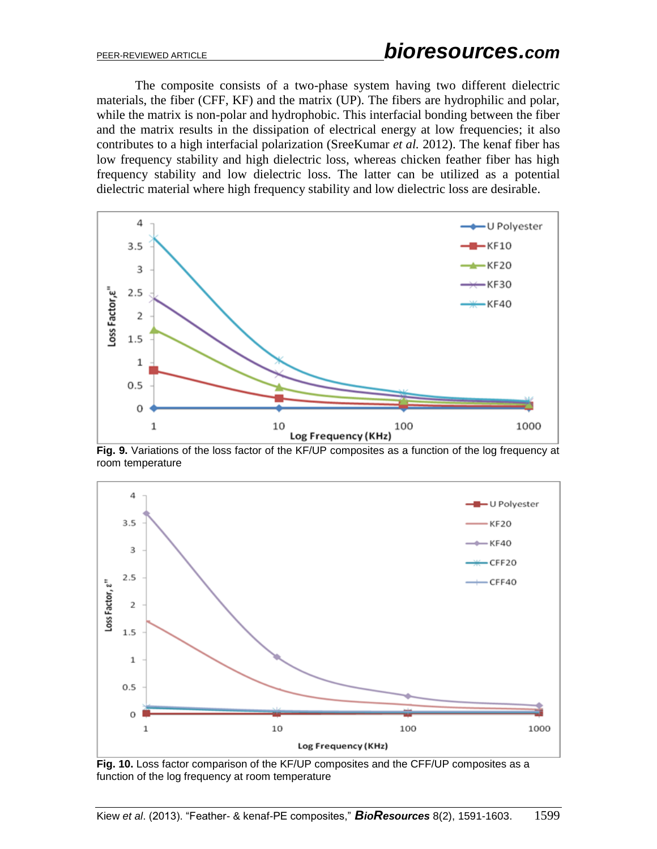The composite consists of a two-phase system having two different dielectric materials, the fiber (CFF, KF) and the matrix (UP). The fibers are hydrophilic and polar, while the matrix is non-polar and hydrophobic. This interfacial bonding between the fiber and the matrix results in the dissipation of electrical energy at low frequencies; it also contributes to a high interfacial polarization (SreeKumar *et al.* 2012). The kenaf fiber has low frequency stability and high dielectric loss, whereas chicken feather fiber has high frequency stability and low dielectric loss. The latter can be utilized as a potential dielectric material where high frequency stability and low dielectric loss are desirable.



**Fig. 9.** Variations of the loss factor of the KF/UP composites as a function of the log frequency at room temperature



**Fig. 10.** Loss factor comparison of the KF/UP composites and the CFF/UP composites as a function of the log frequency at room temperature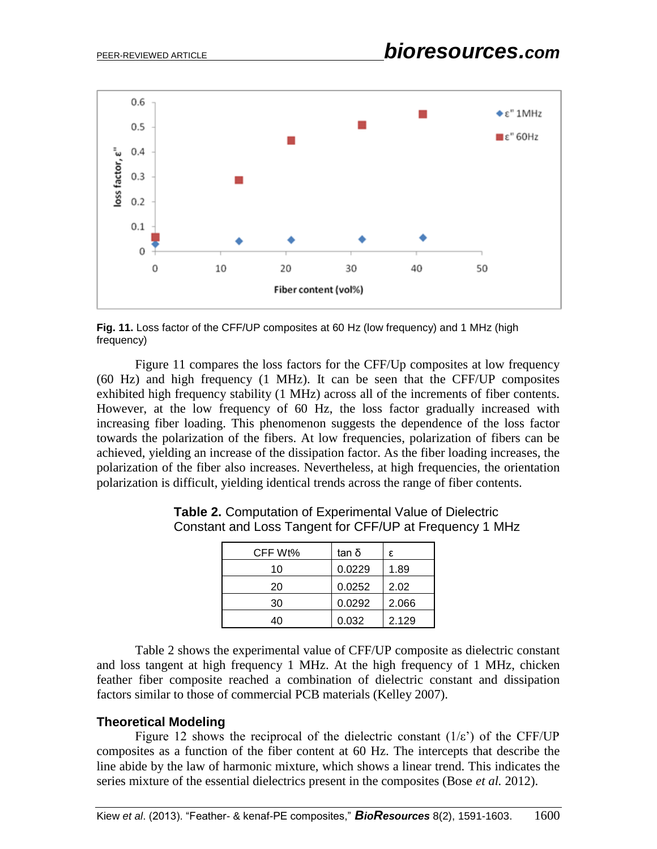

**Fig. 11.** Loss factor of the CFF/UP composites at 60 Hz (low frequency) and 1 MHz (high frequency)

Figure 11 compares the loss factors for the CFF/Up composites at low frequency (60 Hz) and high frequency (1 MHz). It can be seen that the CFF/UP composites exhibited high frequency stability (1 MHz) across all of the increments of fiber contents. However, at the low frequency of 60 Hz, the loss factor gradually increased with increasing fiber loading. This phenomenon suggests the dependence of the loss factor towards the polarization of the fibers. At low frequencies, polarization of fibers can be achieved, yielding an increase of the dissipation factor. As the fiber loading increases, the polarization of the fiber also increases. Nevertheless, at high frequencies, the orientation polarization is difficult, yielding identical trends across the range of fiber contents.

| CFF Wt% | tan δ  | ε     |
|---------|--------|-------|
| 10      | 0.0229 | 1.89  |
| 20      | 0.0252 | 2.02  |
| 30      | 0.0292 | 2.066 |
| 40      | 0.032  | 2.129 |

**Table 2.** Computation of Experimental Value of Dielectric Constant and Loss Tangent for CFF/UP at Frequency 1 MHz

Table 2 shows the experimental value of CFF/UP composite as dielectric constant and loss tangent at high frequency 1 MHz. At the high frequency of 1 MHz, chicken feather fiber composite reached a combination of dielectric constant and dissipation factors similar to those of commercial PCB materials (Kelley 2007).

# **Theoretical Modeling**

Figure 12 shows the reciprocal of the dielectric constant  $(1/\varepsilon)$  of the CFF/UP composites as a function of the fiber content at 60 Hz. The intercepts that describe the line abide by the law of harmonic mixture, which shows a linear trend. This indicates the series mixture of the essential dielectrics present in the composites (Bose *et al.* 2012).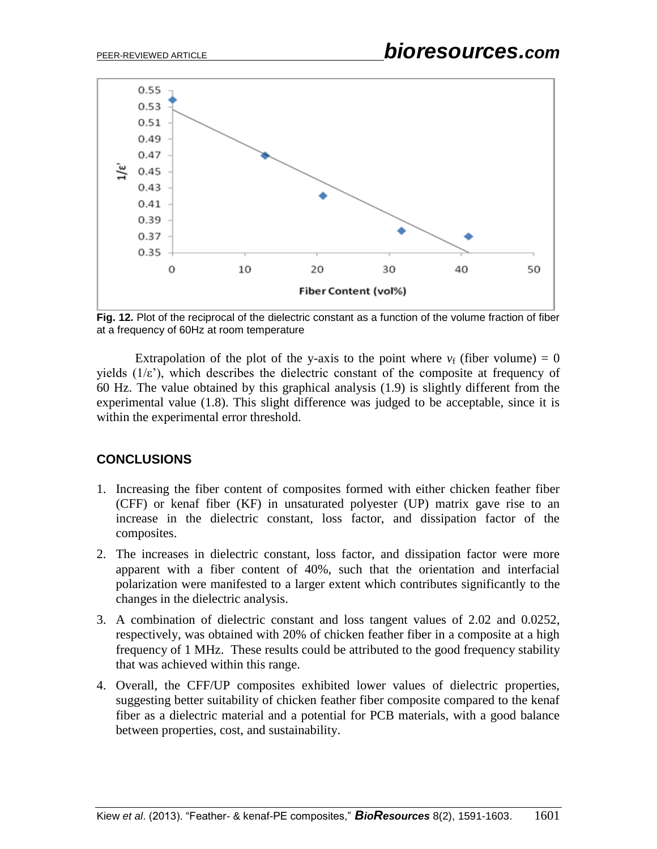

**Fig. 12.** Plot of the reciprocal of the dielectric constant as a function of the volume fraction of fiber at a frequency of 60Hz at room temperature

Extrapolation of the plot of the y-axis to the point where  $v_f$  (fiber volume) = 0 yields  $(1/\varepsilon)$ , which describes the dielectric constant of the composite at frequency of 60 Hz. The value obtained by this graphical analysis (1.9) is slightly different from the experimental value (1.8). This slight difference was judged to be acceptable, since it is within the experimental error threshold.

# **CONCLUSIONS**

- 1. Increasing the fiber content of composites formed with either chicken feather fiber (CFF) or kenaf fiber (KF) in unsaturated polyester (UP) matrix gave rise to an increase in the dielectric constant, loss factor, and dissipation factor of the composites.
- 2. The increases in dielectric constant, loss factor, and dissipation factor were more apparent with a fiber content of 40%, such that the orientation and interfacial polarization were manifested to a larger extent which contributes significantly to the changes in the dielectric analysis.
- 3. A combination of dielectric constant and loss tangent values of 2.02 and 0.0252, respectively, was obtained with 20% of chicken feather fiber in a composite at a high frequency of 1 MHz. These results could be attributed to the good frequency stability that was achieved within this range.
- 4. Overall, the CFF/UP composites exhibited lower values of dielectric properties, suggesting better suitability of chicken feather fiber composite compared to the kenaf fiber as a dielectric material and a potential for PCB materials, with a good balance between properties, cost, and sustainability.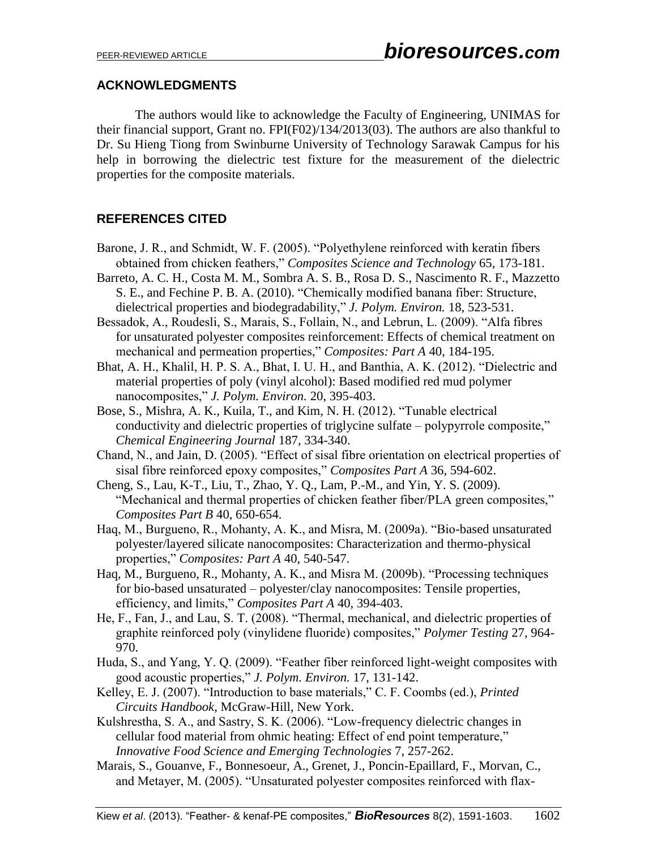# **ACKNOWLEDGMENTS**

The authors would like to acknowledge the Faculty of Engineering, UNIMAS for their financial support, Grant no. FPI(F02)/134/2013(03). The authors are also thankful to Dr. Su Hieng Tiong from Swinburne University of Technology Sarawak Campus for his help in borrowing the dielectric test fixture for the measurement of the dielectric properties for the composite materials.

# **REFERENCES CITED**

- Barone, J. R., and Schmidt, W. F. (2005). "Polyethylene reinforced with keratin fibers obtained from chicken feathers," *Composites Science and Technology* 65, 173-181.
- Barreto, A. C. H., Costa M. M., Sombra A. S. B., Rosa D. S., Nascimento R. F., Mazzetto S. E., and Fechine P. B. A. (2010). "Chemically modified banana fiber: Structure, dielectrical properties and biodegradability," *J. Polym. Environ.* 18, 523-531.
- Bessadok, A., Roudesli, S., Marais, S., Follain, N., and Lebrun, L. (2009). "Alfa fibres for unsaturated polyester composites reinforcement: Effects of chemical treatment on mechanical and permeation properties," *Composites: Part A* 40, 184-195.
- Bhat, A. H., Khalil, H. P. S. A., Bhat, I. U. H., and Banthia, A. K. (2012). "Dielectric and material properties of poly (vinyl alcohol): Based modified red mud polymer nanocomposites," *J. Polym. Environ.* 20, 395-403.
- Bose, S., Mishra, A. K., Kuila, T., and Kim, N. H. (2012). "Tunable electrical conductivity and dielectric properties of triglycine sulfate – polypyrrole composite," *Chemical Engineering Journal* 187, 334-340.
- Chand, N., and Jain, D. (2005). "Effect of sisal fibre orientation on electrical properties of sisal fibre reinforced epoxy composites," *Composites Part A* 36, 594-602.
- Cheng, S., Lau, K-T., Liu, T., Zhao, Y. Q., Lam, P.-M., and Yin, Y. S. (2009). "Mechanical and thermal properties of chicken feather fiber/PLA green composites," *Composites Part B* 40, 650-654.
- Haq, M., Burgueno, R., Mohanty, A. K., and Misra, M. (2009a). "Bio-based unsaturated polyester/layered silicate nanocomposites: Characterization and thermo-physical properties," *Composites: Part A* 40, 540-547.
- Haq, M., Burgueno, R., Mohanty, A. K., and Misra M. (2009b). "Processing techniques for bio-based unsaturated – polyester/clay nanocomposites: Tensile properties, efficiency, and limits," *Composites Part A* 40, 394-403.
- He, F., Fan, J., and Lau, S. T. (2008). "Thermal, mechanical, and dielectric properties of graphite reinforced poly (vinylidene fluoride) composites," *Polymer Testing* 27, 964- 970.
- Huda, S., and Yang, Y. Q. (2009). "Feather fiber reinforced light-weight composites with good acoustic properties," *J. Polym. Environ.* 17, 131-142.
- Kelley, E. J. (2007). "Introduction to base materials," C. F. Coombs (ed.), *Printed Circuits Handbook*, McGraw-Hill, New York.
- Kulshrestha, S. A., and Sastry, S. K. (2006). "Low-frequency dielectric changes in cellular food material from ohmic heating: Effect of end point temperature," *Innovative Food Science and Emerging Technologies* 7, 257-262.
- Marais, S., Gouanve, F., Bonnesoeur, A., Grenet, J., Poncin-Epaillard, F., Morvan, C., and Metayer, M. (2005). "Unsaturated polyester composites reinforced with flax-